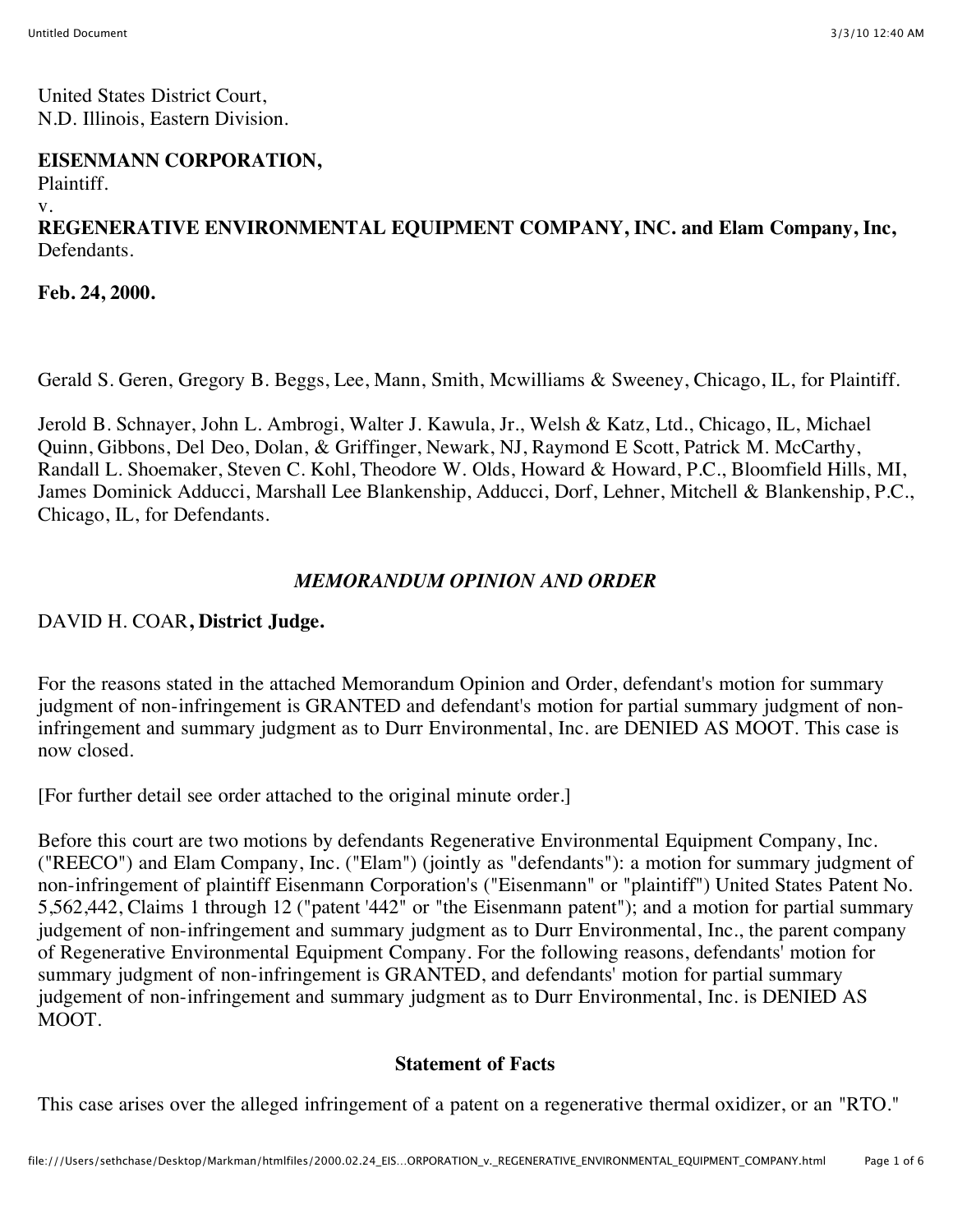United States District Court, N.D. Illinois, Eastern Division.

#### **EISENMANN CORPORATION,**

Plaintiff.

v.

# **REGENERATIVE ENVIRONMENTAL EQUIPMENT COMPANY, INC. and Elam Company, Inc,** Defendants.

**Feb. 24, 2000.**

Gerald S. Geren, Gregory B. Beggs, Lee, Mann, Smith, Mcwilliams & Sweeney, Chicago, IL, for Plaintiff.

Jerold B. Schnayer, John L. Ambrogi, Walter J. Kawula, Jr., Welsh & Katz, Ltd., Chicago, IL, Michael Quinn, Gibbons, Del Deo, Dolan, & Griffinger, Newark, NJ, Raymond E Scott, Patrick M. McCarthy, Randall L. Shoemaker, Steven C. Kohl, Theodore W. Olds, Howard & Howard, P.C., Bloomfield Hills, MI, James Dominick Adducci, Marshall Lee Blankenship, Adducci, Dorf, Lehner, Mitchell & Blankenship, P.C., Chicago, IL, for Defendants.

## *MEMORANDUM OPINION AND ORDER*

## DAVID H. COAR**, District Judge.**

For the reasons stated in the attached Memorandum Opinion and Order, defendant's motion for summary judgment of non-infringement is GRANTED and defendant's motion for partial summary judgment of noninfringement and summary judgment as to Durr Environmental, Inc. are DENIED AS MOOT. This case is now closed.

[For further detail see order attached to the original minute order.]

Before this court are two motions by defendants Regenerative Environmental Equipment Company, Inc. ("REECO") and Elam Company, Inc. ("Elam") (jointly as "defendants"): a motion for summary judgment of non-infringement of plaintiff Eisenmann Corporation's ("Eisenmann" or "plaintiff") United States Patent No. 5,562,442, Claims 1 through 12 ("patent '442" or "the Eisenmann patent"); and a motion for partial summary judgement of non-infringement and summary judgment as to Durr Environmental, Inc., the parent company of Regenerative Environmental Equipment Company. For the following reasons, defendants' motion for summary judgment of non-infringement is GRANTED, and defendants' motion for partial summary judgement of non-infringement and summary judgment as to Durr Environmental, Inc. is DENIED AS MOOT.

## **Statement of Facts**

This case arises over the alleged infringement of a patent on a regenerative thermal oxidizer, or an "RTO."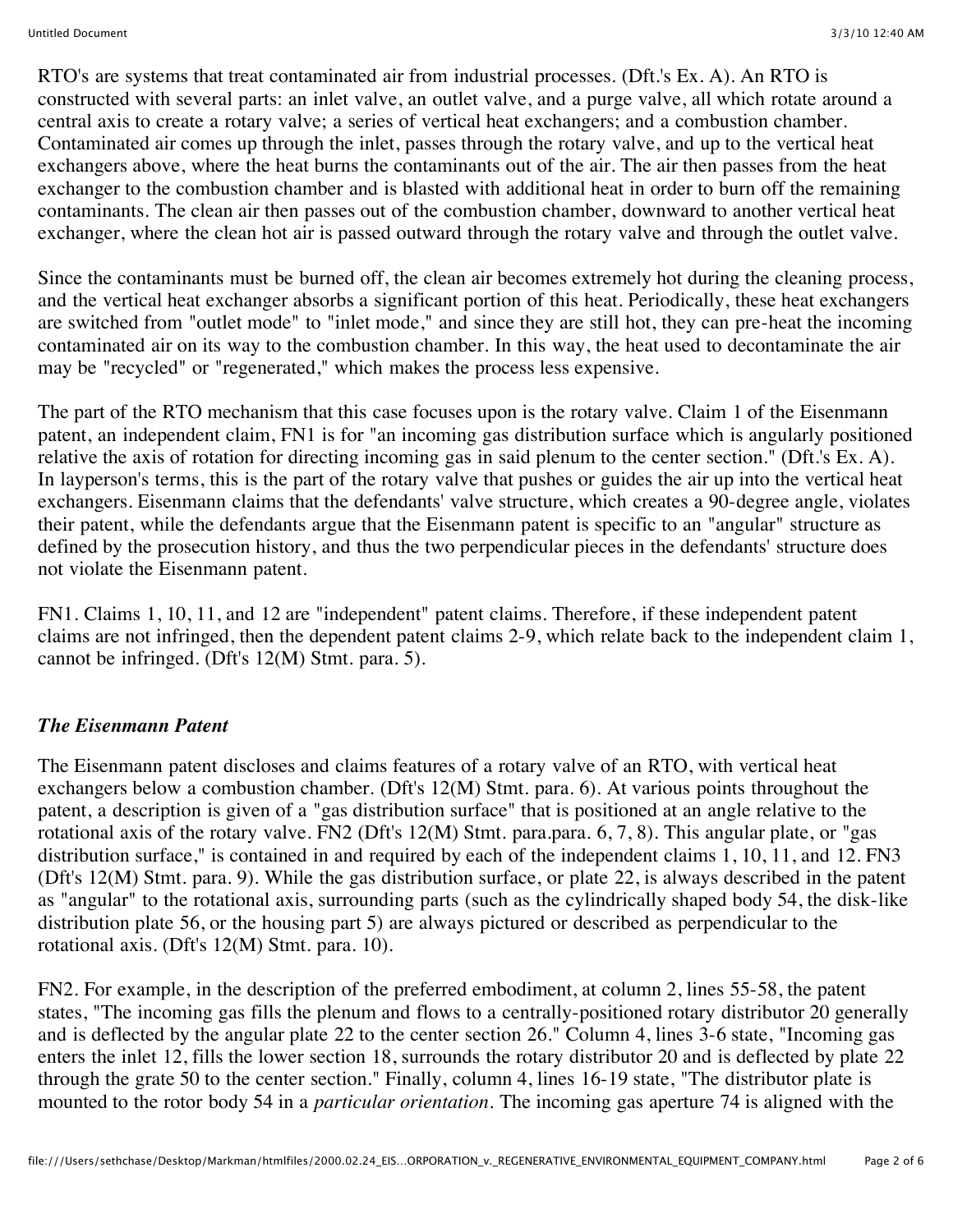RTO's are systems that treat contaminated air from industrial processes. (Dft.'s Ex. A). An RTO is constructed with several parts: an inlet valve, an outlet valve, and a purge valve, all which rotate around a central axis to create a rotary valve; a series of vertical heat exchangers; and a combustion chamber. Contaminated air comes up through the inlet, passes through the rotary valve, and up to the vertical heat exchangers above, where the heat burns the contaminants out of the air. The air then passes from the heat exchanger to the combustion chamber and is blasted with additional heat in order to burn off the remaining contaminants. The clean air then passes out of the combustion chamber, downward to another vertical heat exchanger, where the clean hot air is passed outward through the rotary valve and through the outlet valve.

Since the contaminants must be burned off, the clean air becomes extremely hot during the cleaning process, and the vertical heat exchanger absorbs a significant portion of this heat. Periodically, these heat exchangers are switched from "outlet mode" to "inlet mode," and since they are still hot, they can pre-heat the incoming contaminated air on its way to the combustion chamber. In this way, the heat used to decontaminate the air may be "recycled" or "regenerated," which makes the process less expensive.

The part of the RTO mechanism that this case focuses upon is the rotary valve. Claim 1 of the Eisenmann patent, an independent claim, FN1 is for "an incoming gas distribution surface which is angularly positioned relative the axis of rotation for directing incoming gas in said plenum to the center section." (Dft.'s Ex. A). In layperson's terms, this is the part of the rotary valve that pushes or guides the air up into the vertical heat exchangers. Eisenmann claims that the defendants' valve structure, which creates a 90-degree angle, violates their patent, while the defendants argue that the Eisenmann patent is specific to an "angular" structure as defined by the prosecution history, and thus the two perpendicular pieces in the defendants' structure does not violate the Eisenmann patent.

FN1. Claims 1, 10, 11, and 12 are "independent" patent claims. Therefore, if these independent patent claims are not infringed, then the dependent patent claims 2-9, which relate back to the independent claim 1, cannot be infringed. (Dft's 12(M) Stmt. para. 5).

## *The Eisenmann Patent*

The Eisenmann patent discloses and claims features of a rotary valve of an RTO, with vertical heat exchangers below a combustion chamber. (Dft's 12(M) Stmt. para. 6). At various points throughout the patent, a description is given of a "gas distribution surface" that is positioned at an angle relative to the rotational axis of the rotary valve. FN2 (Dft's 12(M) Stmt. para.para. 6, 7, 8). This angular plate, or "gas distribution surface," is contained in and required by each of the independent claims 1, 10, 11, and 12. FN3 (Dft's 12(M) Stmt. para. 9). While the gas distribution surface, or plate 22, is always described in the patent as "angular" to the rotational axis, surrounding parts (such as the cylindrically shaped body 54, the disk-like distribution plate 56, or the housing part 5) are always pictured or described as perpendicular to the rotational axis. (Dft's 12(M) Stmt. para. 10).

FN2. For example, in the description of the preferred embodiment, at column 2, lines 55-58, the patent states, "The incoming gas fills the plenum and flows to a centrally-positioned rotary distributor 20 generally and is deflected by the angular plate 22 to the center section 26." Column 4, lines 3-6 state, "Incoming gas enters the inlet 12, fills the lower section 18, surrounds the rotary distributor 20 and is deflected by plate 22 through the grate 50 to the center section." Finally, column 4, lines 16-19 state, "The distributor plate is mounted to the rotor body 54 in a *particular orientation.* The incoming gas aperture 74 is aligned with the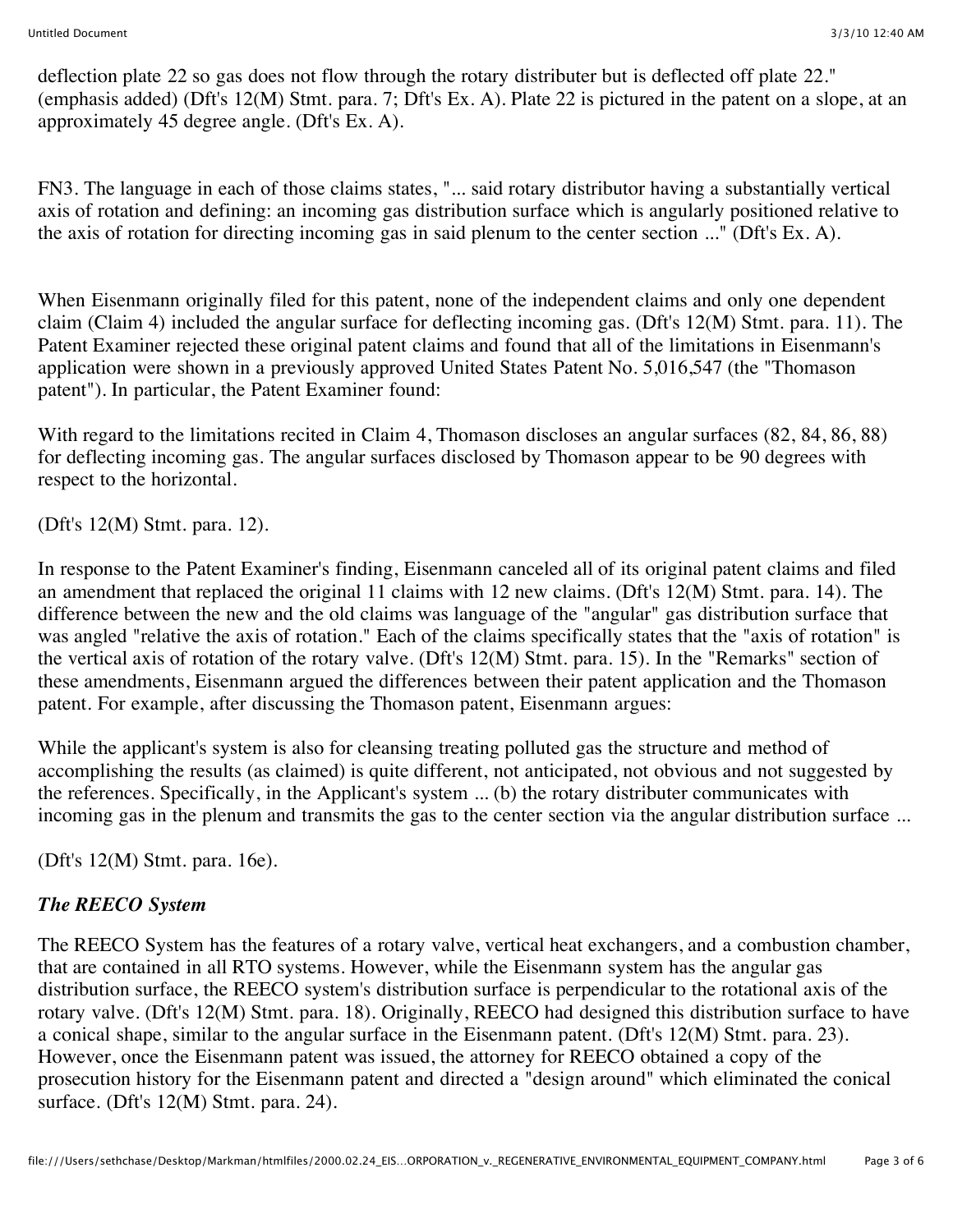deflection plate 22 so gas does not flow through the rotary distributer but is deflected off plate 22." (emphasis added) (Dft's 12(M) Stmt. para. 7; Dft's Ex. A). Plate 22 is pictured in the patent on a slope, at an approximately 45 degree angle. (Dft's Ex. A).

FN3. The language in each of those claims states, "... said rotary distributor having a substantially vertical axis of rotation and defining: an incoming gas distribution surface which is angularly positioned relative to the axis of rotation for directing incoming gas in said plenum to the center section ..." (Dft's Ex. A).

When Eisenmann originally filed for this patent, none of the independent claims and only one dependent claim (Claim 4) included the angular surface for deflecting incoming gas. (Dft's 12(M) Stmt. para. 11). The Patent Examiner rejected these original patent claims and found that all of the limitations in Eisenmann's application were shown in a previously approved United States Patent No. 5,016,547 (the "Thomason patent"). In particular, the Patent Examiner found:

With regard to the limitations recited in Claim 4, Thomason discloses an angular surfaces  $(82, 84, 86, 88)$ for deflecting incoming gas. The angular surfaces disclosed by Thomason appear to be 90 degrees with respect to the horizontal.

(Dft's 12(M) Stmt. para. 12).

In response to the Patent Examiner's finding, Eisenmann canceled all of its original patent claims and filed an amendment that replaced the original 11 claims with 12 new claims. (Dft's 12(M) Stmt. para. 14). The difference between the new and the old claims was language of the "angular" gas distribution surface that was angled "relative the axis of rotation." Each of the claims specifically states that the "axis of rotation" is the vertical axis of rotation of the rotary valve. (Dft's 12(M) Stmt. para. 15). In the "Remarks" section of these amendments, Eisenmann argued the differences between their patent application and the Thomason patent. For example, after discussing the Thomason patent, Eisenmann argues:

While the applicant's system is also for cleansing treating polluted gas the structure and method of accomplishing the results (as claimed) is quite different, not anticipated, not obvious and not suggested by the references. Specifically, in the Applicant's system ... (b) the rotary distributer communicates with incoming gas in the plenum and transmits the gas to the center section via the angular distribution surface ...

(Dft's 12(M) Stmt. para. 16e).

## *The REECO System*

The REECO System has the features of a rotary valve, vertical heat exchangers, and a combustion chamber, that are contained in all RTO systems. However, while the Eisenmann system has the angular gas distribution surface, the REECO system's distribution surface is perpendicular to the rotational axis of the rotary valve. (Dft's 12(M) Stmt. para. 18). Originally, REECO had designed this distribution surface to have a conical shape, similar to the angular surface in the Eisenmann patent. (Dft's 12(M) Stmt. para. 23). However, once the Eisenmann patent was issued, the attorney for REECO obtained a copy of the prosecution history for the Eisenmann patent and directed a "design around" which eliminated the conical surface. (Dft's 12(M) Stmt. para. 24).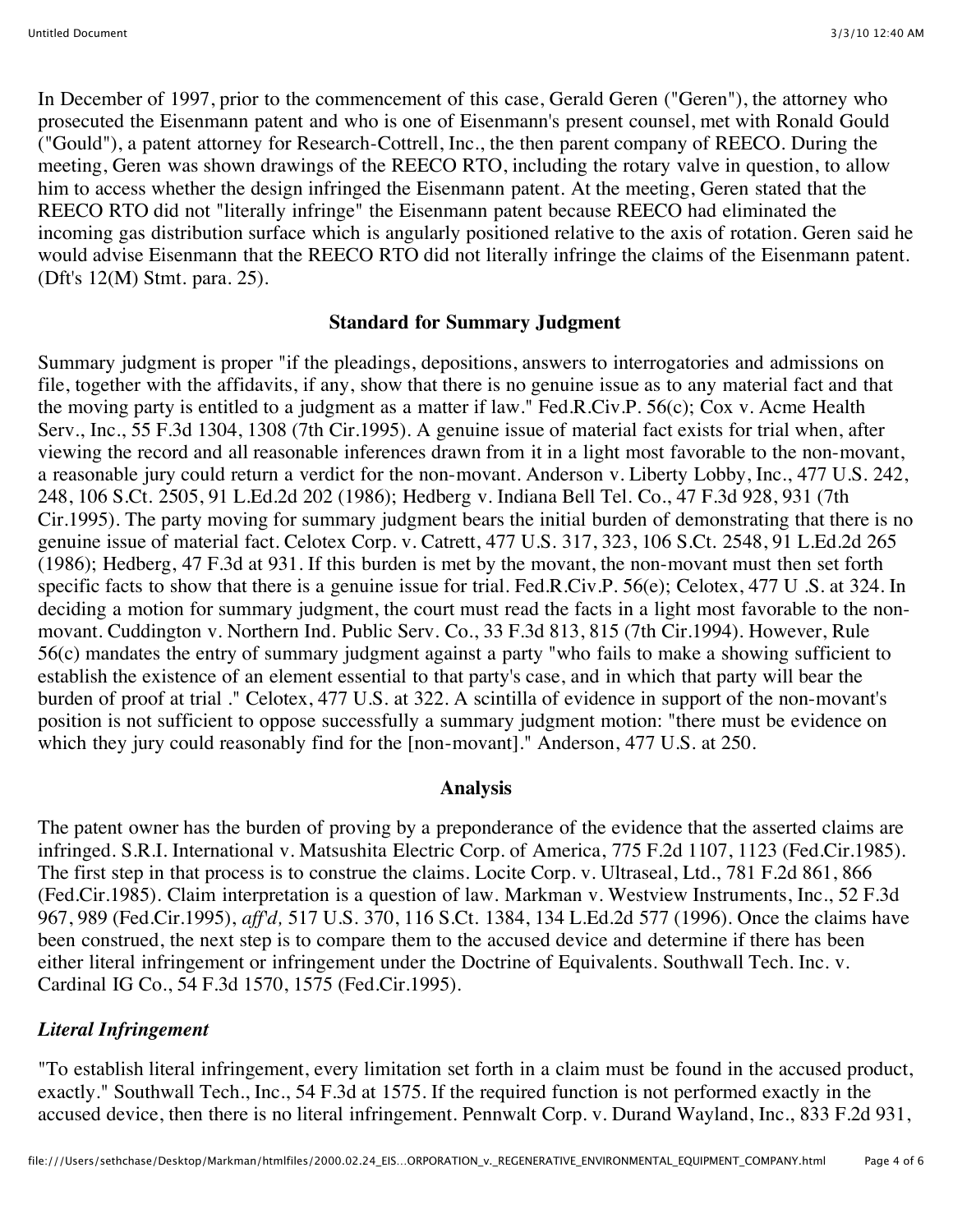In December of 1997, prior to the commencement of this case, Gerald Geren ("Geren"), the attorney who prosecuted the Eisenmann patent and who is one of Eisenmann's present counsel, met with Ronald Gould ("Gould"), a patent attorney for Research-Cottrell, Inc., the then parent company of REECO. During the meeting, Geren was shown drawings of the REECO RTO, including the rotary valve in question, to allow him to access whether the design infringed the Eisenmann patent. At the meeting, Geren stated that the REECO RTO did not "literally infringe" the Eisenmann patent because REECO had eliminated the incoming gas distribution surface which is angularly positioned relative to the axis of rotation. Geren said he would advise Eisenmann that the REECO RTO did not literally infringe the claims of the Eisenmann patent. (Dft's 12(M) Stmt. para. 25).

#### **Standard for Summary Judgment**

Summary judgment is proper "if the pleadings, depositions, answers to interrogatories and admissions on file, together with the affidavits, if any, show that there is no genuine issue as to any material fact and that the moving party is entitled to a judgment as a matter if law." Fed.R.Civ.P. 56(c); Cox v. Acme Health Serv., Inc., 55 F.3d 1304, 1308 (7th Cir.1995). A genuine issue of material fact exists for trial when, after viewing the record and all reasonable inferences drawn from it in a light most favorable to the non-movant, a reasonable jury could return a verdict for the non-movant. Anderson v. Liberty Lobby, Inc., 477 U.S. 242, 248, 106 S.Ct. 2505, 91 L.Ed.2d 202 (1986); Hedberg v. Indiana Bell Tel. Co., 47 F.3d 928, 931 (7th Cir.1995). The party moving for summary judgment bears the initial burden of demonstrating that there is no genuine issue of material fact. Celotex Corp. v. Catrett, 477 U.S. 317, 323, 106 S.Ct. 2548, 91 L.Ed.2d 265 (1986); Hedberg, 47 F.3d at 931. If this burden is met by the movant, the non-movant must then set forth specific facts to show that there is a genuine issue for trial. Fed.R.Civ.P. 56(e); Celotex, 477 U .S. at 324. In deciding a motion for summary judgment, the court must read the facts in a light most favorable to the nonmovant. Cuddington v. Northern Ind. Public Serv. Co., 33 F.3d 813, 815 (7th Cir.1994). However, Rule 56(c) mandates the entry of summary judgment against a party "who fails to make a showing sufficient to establish the existence of an element essential to that party's case, and in which that party will bear the burden of proof at trial ." Celotex, 477 U.S. at 322. A scintilla of evidence in support of the non-movant's position is not sufficient to oppose successfully a summary judgment motion: "there must be evidence on which they jury could reasonably find for the [non-movant]." Anderson, 477 U.S. at 250.

#### **Analysis**

The patent owner has the burden of proving by a preponderance of the evidence that the asserted claims are infringed. S.R.I. International v. Matsushita Electric Corp. of America, 775 F.2d 1107, 1123 (Fed.Cir.1985). The first step in that process is to construe the claims. Locite Corp. v. Ultraseal, Ltd., 781 F.2d 861, 866 (Fed.Cir.1985). Claim interpretation is a question of law. Markman v. Westview Instruments, Inc., 52 F.3d 967, 989 (Fed.Cir.1995), *aff'd,* 517 U.S. 370, 116 S.Ct. 1384, 134 L.Ed.2d 577 (1996). Once the claims have been construed, the next step is to compare them to the accused device and determine if there has been either literal infringement or infringement under the Doctrine of Equivalents. Southwall Tech. Inc. v. Cardinal IG Co., 54 F.3d 1570, 1575 (Fed.Cir.1995).

## *Literal Infringement*

"To establish literal infringement, every limitation set forth in a claim must be found in the accused product, exactly." Southwall Tech., Inc., 54 F.3d at 1575. If the required function is not performed exactly in the accused device, then there is no literal infringement. Pennwalt Corp. v. Durand Wayland, Inc., 833 F.2d 931,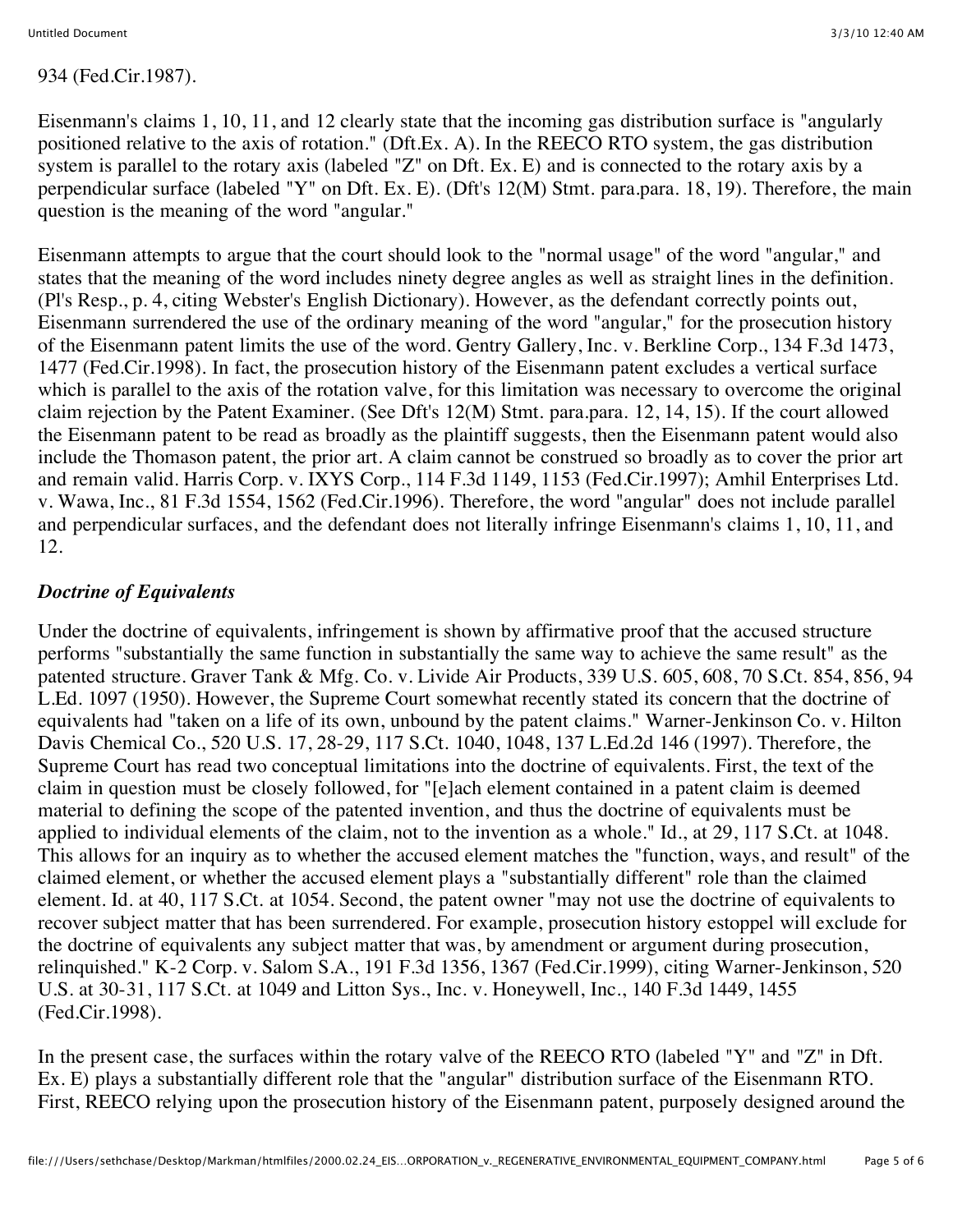## 934 (Fed.Cir.1987).

Eisenmann's claims 1, 10, 11, and 12 clearly state that the incoming gas distribution surface is "angularly positioned relative to the axis of rotation." (Dft.Ex. A). In the REECO RTO system, the gas distribution system is parallel to the rotary axis (labeled "Z" on Dft. Ex. E) and is connected to the rotary axis by a perpendicular surface (labeled "Y" on Dft. Ex. E). (Dft's 12(M) Stmt. para.para. 18, 19). Therefore, the main question is the meaning of the word "angular."

Eisenmann attempts to argue that the court should look to the "normal usage" of the word "angular," and states that the meaning of the word includes ninety degree angles as well as straight lines in the definition. (Pl's Resp., p. 4, citing Webster's English Dictionary). However, as the defendant correctly points out, Eisenmann surrendered the use of the ordinary meaning of the word "angular," for the prosecution history of the Eisenmann patent limits the use of the word. Gentry Gallery, Inc. v. Berkline Corp., 134 F.3d 1473, 1477 (Fed.Cir.1998). In fact, the prosecution history of the Eisenmann patent excludes a vertical surface which is parallel to the axis of the rotation valve, for this limitation was necessary to overcome the original claim rejection by the Patent Examiner. (See Dft's 12(M) Stmt. para.para. 12, 14, 15). If the court allowed the Eisenmann patent to be read as broadly as the plaintiff suggests, then the Eisenmann patent would also include the Thomason patent, the prior art. A claim cannot be construed so broadly as to cover the prior art and remain valid. Harris Corp. v. IXYS Corp., 114 F.3d 1149, 1153 (Fed.Cir.1997); Amhil Enterprises Ltd. v. Wawa, Inc., 81 F.3d 1554, 1562 (Fed.Cir.1996). Therefore, the word "angular" does not include parallel and perpendicular surfaces, and the defendant does not literally infringe Eisenmann's claims 1, 10, 11, and 12.

# *Doctrine of Equivalents*

Under the doctrine of equivalents, infringement is shown by affirmative proof that the accused structure performs "substantially the same function in substantially the same way to achieve the same result" as the patented structure. Graver Tank & Mfg. Co. v. Livide Air Products, 339 U.S. 605, 608, 70 S.Ct. 854, 856, 94 L.Ed. 1097 (1950). However, the Supreme Court somewhat recently stated its concern that the doctrine of equivalents had "taken on a life of its own, unbound by the patent claims." Warner-Jenkinson Co. v. Hilton Davis Chemical Co., 520 U.S. 17, 28-29, 117 S.Ct. 1040, 1048, 137 L.Ed.2d 146 (1997). Therefore, the Supreme Court has read two conceptual limitations into the doctrine of equivalents. First, the text of the claim in question must be closely followed, for "[e]ach element contained in a patent claim is deemed material to defining the scope of the patented invention, and thus the doctrine of equivalents must be applied to individual elements of the claim, not to the invention as a whole." Id., at 29, 117 S.Ct. at 1048. This allows for an inquiry as to whether the accused element matches the "function, ways, and result" of the claimed element, or whether the accused element plays a "substantially different" role than the claimed element. Id. at 40, 117 S.Ct. at 1054. Second, the patent owner "may not use the doctrine of equivalents to recover subject matter that has been surrendered. For example, prosecution history estoppel will exclude for the doctrine of equivalents any subject matter that was, by amendment or argument during prosecution, relinquished." K-2 Corp. v. Salom S.A., 191 F.3d 1356, 1367 (Fed.Cir.1999), citing Warner-Jenkinson, 520 U.S. at 30-31, 117 S.Ct. at 1049 and Litton Sys., Inc. v. Honeywell, Inc., 140 F.3d 1449, 1455 (Fed.Cir.1998).

In the present case, the surfaces within the rotary valve of the REECO RTO (labeled "Y" and "Z" in Dft. Ex. E) plays a substantially different role that the "angular" distribution surface of the Eisenmann RTO. First, REECO relying upon the prosecution history of the Eisenmann patent, purposely designed around the